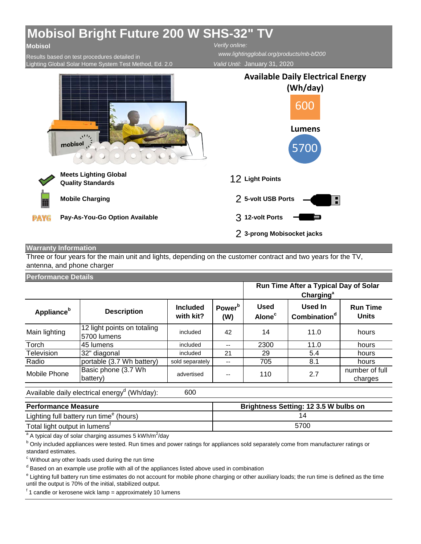## **Mobisol Bright Future 200 W SHS-32" TV**

## **Mobisol**

Results based on test procedures detailed in Lighting Global Solar Home System Test Method, Ed. 2.0 *Verify online: www.lightingglobal.org/products/mb-bf200*

*Valid Until:* January 31, 2020



## **Warranty Information**

Three or four years for the main unit and lights, depending on the customer contract and two years for the TV, antenna, and phone charger

## **Performance Details**

|                        |                                            |                              |                           |                                          | Run Time After a Typical Day of Solar<br>Charging <sup>a</sup> |                                 |
|------------------------|--------------------------------------------|------------------------------|---------------------------|------------------------------------------|----------------------------------------------------------------|---------------------------------|
| Appliance <sup>b</sup> | <b>Description</b>                         | <b>Included</b><br>with kit? | Power <sup>b</sup><br>(W) | <b>Used</b><br><b>Alone</b> <sup>c</sup> | <b>Used In</b><br>Combination <sup>d</sup>                     | <b>Run Time</b><br><b>Units</b> |
| Main lighting          | 12 light points on totaling<br>5700 lumens | included                     | 42                        | 14                                       | 11.0                                                           | hours                           |
| Torch                  | 45 lumens                                  | included                     | $\overline{\phantom{a}}$  | 2300                                     | 11.0                                                           | hours                           |
| Television             | 32" diagonal                               | included                     | 21                        | 29                                       | 5.4                                                            | hours                           |
| Radio                  | portable (3.7 Wh battery)                  | sold separately              | $\overline{\phantom{a}}$  | 705                                      | 8.1                                                            | hours                           |
| Mobile Phone           | Basic phone (3.7 Wh<br>battery)            | advertised                   | --                        | 110                                      | 2.7                                                            | number of full<br>charges       |
|                        |                                            |                              |                           |                                          |                                                                |                                 |

Available daily electrical energy<sup>d</sup> (Wh/day):

600

| <b>Performance Measure</b>                          | Brightness Setting: 12 3.5 W bulbs on |
|-----------------------------------------------------|---------------------------------------|
| Lighting full battery run time <sup>e</sup> (hours) |                                       |
| Total light output in lumens <sup>1</sup>           | 5700                                  |

<sup>a</sup> A typical day of solar charging assumes 5 kWh/m<sup>2</sup>/day<br><sup>b</sup> Only included appliances were tested. Bun times and p

<sup>b</sup> Only included appliances were tested. Run times and power ratings for appliances sold separately come from manufacturer ratings or standard estimates.

c Without any other loads used during the run time

<sup>d</sup> Based on an example use profile with all of the appliances listed above used in combination

<sup>e</sup> Lighting full battery run time estimates do not account for mobile phone charging or other auxiliary loads; the run time is defined as the time until the output is 70% of the initial, stabilized output.

<sup>f</sup> 1 candle or kerosene wick lamp = approximately 10 lumens